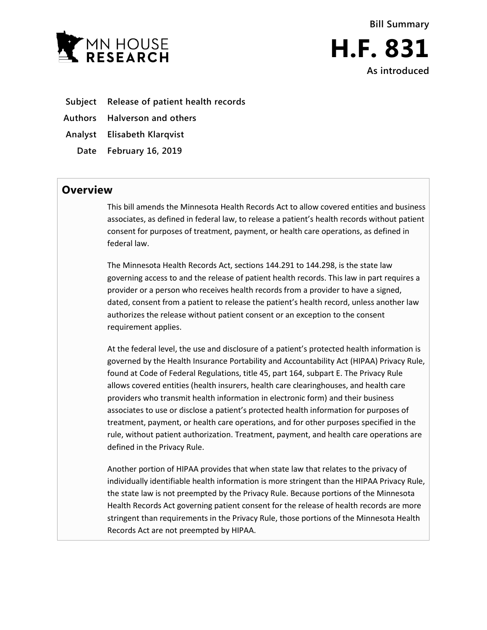



- **Subject Release of patient health records**
- **Authors Halverson and others**

**Analyst Elisabeth Klarqvist**

**Date February 16, 2019**

## **Overview**

This bill amends the Minnesota Health Records Act to allow covered entities and business associates, as defined in federal law, to release a patient's health records without patient consent for purposes of treatment, payment, or health care operations, as defined in federal law.

The Minnesota Health Records Act, sections 144.291 to 144.298, is the state law governing access to and the release of patient health records. This law in part requires a provider or a person who receives health records from a provider to have a signed, dated, consent from a patient to release the patient's health record, unless another law authorizes the release without patient consent or an exception to the consent requirement applies.

At the federal level, the use and disclosure of a patient's protected health information is governed by the Health Insurance Portability and Accountability Act (HIPAA) Privacy Rule, found at Code of Federal Regulations, title 45, part 164, subpart E. The Privacy Rule allows covered entities (health insurers, health care clearinghouses, and health care providers who transmit health information in electronic form) and their business associates to use or disclose a patient's protected health information for purposes of treatment, payment, or health care operations, and for other purposes specified in the rule, without patient authorization. Treatment, payment, and health care operations are defined in the Privacy Rule.

Another portion of HIPAA provides that when state law that relates to the privacy of individually identifiable health information is more stringent than the HIPAA Privacy Rule, the state law is not preempted by the Privacy Rule. Because portions of the Minnesota Health Records Act governing patient consent for the release of health records are more stringent than requirements in the Privacy Rule, those portions of the Minnesota Health Records Act are not preempted by HIPAA.